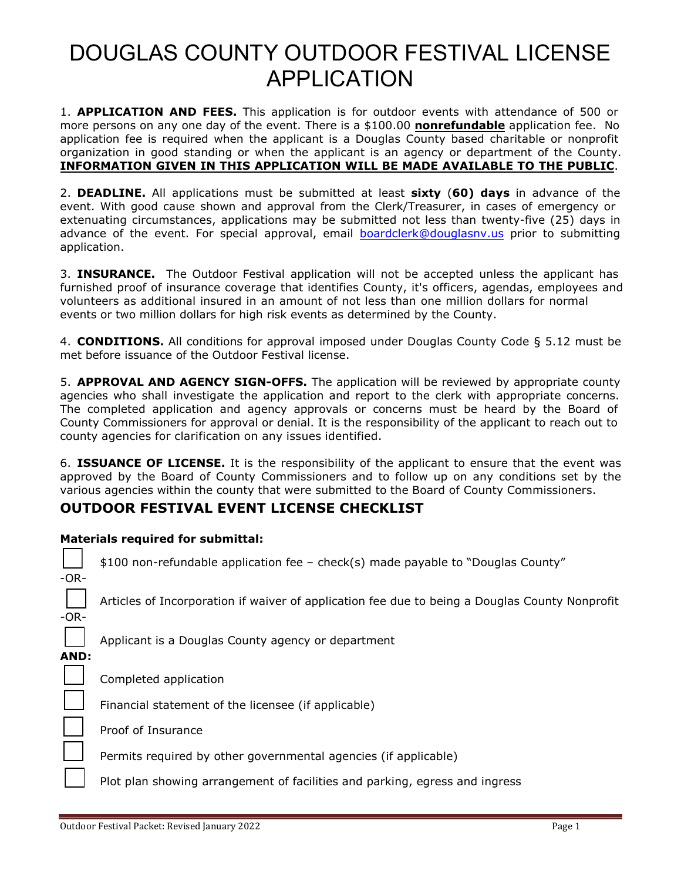1. **APPLICATION AND FEES.** This application is for outdoor events with attendance of 500 or more persons on any one day of the event. There is a \$100.00 **nonrefundable** application fee. No application fee is required when the applicant is a Douglas County based charitable or nonprofit organization in good standing or when the applicant is an agency or department of the County. **INFORMATION GIVEN IN THIS APPLICATION WILL BE MADE AVAILABLE TO THE PUBLIC**.

2. **DEADLINE.** All applications must be submitted at least **sixty** (**60) days** in advance of the event. With good cause shown and approval from the Clerk/Treasurer, in cases of emergency or extenuating circumstances, applications may be submitted not less than twenty-five (25) days in advance of the event. For special approval, email [boardclerk@douglasnv.us](mailto:boardclerk@douglasnv.us) prior to submitting application.

3. **INSURANCE.** The Outdoor Festival application will not be accepted unless the applicant has furnished proof of insurance coverage that identifies County, it's officers, agendas, employees and volunteers as additional insured in an amount of not less than one million dollars for normal events or two million dollars for high risk events as determined by the County.

4. **CONDITIONS.** All conditions for approval imposed under Douglas County Code § 5.12 must be met before issuance of the Outdoor Festival license.

5. **APPROVAL AND AGENCY SIGN-OFFS.** The application will be reviewed by appropriate county agencies who shall investigate the application and report to the clerk with appropriate concerns. The completed application and agency approvals or concerns must be heard by the Board of County Commissioners for approval or denial. It is the responsibility of the applicant to reach out to county agencies for clarification on any issues identified.

6. **ISSUANCE OF LICENSE.** It is the responsibility of the applicant to ensure that the event was approved by the Board of County Commissioners and to follow up on any conditions set by the various agencies within the county that were submitted to the Board of County Commissioners.

### **OUTDOOR FESTIVAL EVENT LICENSE CHECKLIST**

### **Materials required for submittal:**

□ \$100 non-refundable application fee – check(s) made payable to "Douglas County"

Articles of Incorporation if waiver of application fee due to being a Douglas County Nonprofit

-OR-

Applicant is a Douglas County agency or department

**AND:**

Completed application

Financial statement of the licensee (if applicable)

Proof of Insurance

Permits required by other governmental agencies (if applicable)

Plot plan showing arrangement of facilities and parking, egress and ingress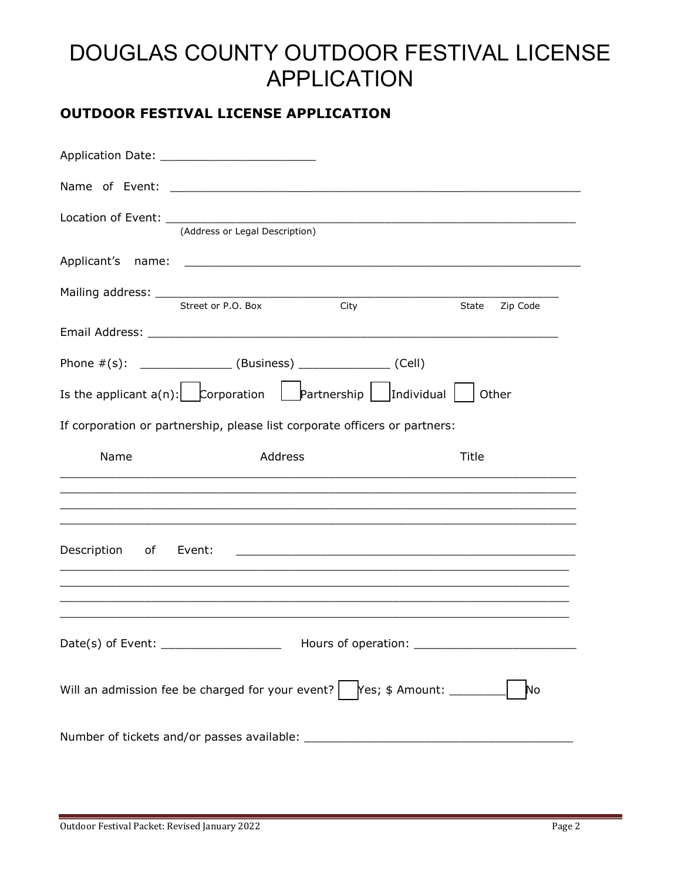### **OUTDOOR FESTIVAL LICENSE APPLICATION**

|                                         | (Address or Legal Description) |                                                                                                                                                                                                                                                                                                         |                   |
|-----------------------------------------|--------------------------------|---------------------------------------------------------------------------------------------------------------------------------------------------------------------------------------------------------------------------------------------------------------------------------------------------------|-------------------|
|                                         |                                |                                                                                                                                                                                                                                                                                                         |                   |
|                                         | Street or P.O. Box             | City                                                                                                                                                                                                                                                                                                    | Zip Code<br>State |
|                                         |                                |                                                                                                                                                                                                                                                                                                         |                   |
|                                         |                                | Phone $\#(s)$ : _________________ (Business) _______________ (Cell)                                                                                                                                                                                                                                     |                   |
|                                         |                                | Is the applicant $a(n)$ : $\begin{bmatrix} \begin{matrix} \begin{matrix} \end{matrix} \\ \end{matrix} \end{bmatrix}$ $\begin{bmatrix} \begin{matrix} \end{matrix} \\ \end{bmatrix}$ artnership $\begin{bmatrix} \begin{matrix} \end{matrix} \\ \end{bmatrix}$ Individual $\begin{bmatrix} \end{matrix}$ | Other             |
|                                         |                                | If corporation or partnership, please list corporate officers or partners:                                                                                                                                                                                                                              |                   |
|                                         |                                |                                                                                                                                                                                                                                                                                                         |                   |
| Name                                    | Address                        |                                                                                                                                                                                                                                                                                                         | Title             |
|                                         |                                |                                                                                                                                                                                                                                                                                                         |                   |
| Description of Event:                   |                                |                                                                                                                                                                                                                                                                                                         |                   |
|                                         |                                |                                                                                                                                                                                                                                                                                                         |                   |
| Date(s) of Event: _____________________ |                                |                                                                                                                                                                                                                                                                                                         |                   |
|                                         |                                | Will an admission fee be charged for your event? $\begin{bmatrix} \text{Yes; } \text{\$ Amount:} \end{bmatrix}$                                                                                                                                                                                         | No                |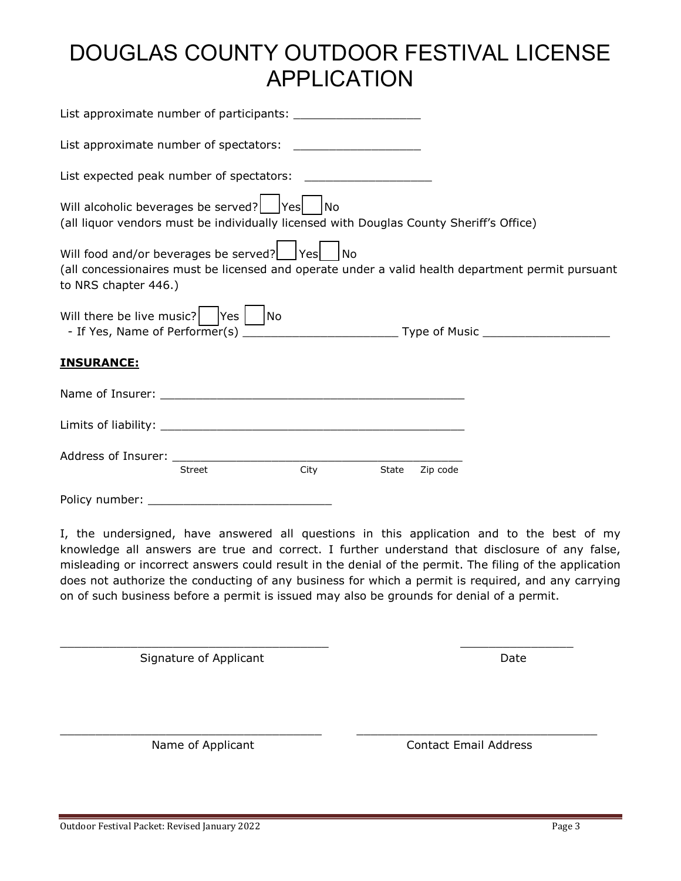| List approximate number of spectators: _____________________                                                                                                                                                                                                                                                                                                                   |               |           |       |          |                                                                                                   |
|--------------------------------------------------------------------------------------------------------------------------------------------------------------------------------------------------------------------------------------------------------------------------------------------------------------------------------------------------------------------------------|---------------|-----------|-------|----------|---------------------------------------------------------------------------------------------------|
|                                                                                                                                                                                                                                                                                                                                                                                |               |           |       |          |                                                                                                   |
| Will alcoholic beverages be served?   Yes<br>(all liquor vendors must be individually licensed with Douglas County Sheriff's Office)                                                                                                                                                                                                                                           |               | <b>No</b> |       |          |                                                                                                   |
| Will food and/or beverages be served?   Yes   No<br>to NRS chapter 446.)                                                                                                                                                                                                                                                                                                       |               |           |       |          | (all concessionaires must be licensed and operate under a valid health department permit pursuant |
| Will there be live music? $\begin{bmatrix} \n\sqrt{1 + 2} & \sqrt{1 + 2} \\ \sqrt{1 + 2} & \sqrt{1 + 2} \\ \sqrt{1 + 2} & \sqrt{1 + 2} \\ \sqrt{1 + 2} & \sqrt{1 + 2} \\ \sqrt{1 + 2} & \sqrt{1 + 2} \\ \sqrt{1 + 2} & \sqrt{1 + 2} \\ \sqrt{1 + 2} & \sqrt{1 + 2} \\ \sqrt{1 + 2} & \sqrt{1 + 2} \\ \sqrt{1 + 2} & \sqrt{1 + 2} \\ \sqrt{1 + 2} & \sqrt{1 + 2} \\ \sqrt{1 + $ |               |           |       |          |                                                                                                   |
| <b>INSURANCE:</b>                                                                                                                                                                                                                                                                                                                                                              |               |           |       |          |                                                                                                   |
|                                                                                                                                                                                                                                                                                                                                                                                |               |           |       |          |                                                                                                   |
|                                                                                                                                                                                                                                                                                                                                                                                |               |           |       |          |                                                                                                   |
|                                                                                                                                                                                                                                                                                                                                                                                | <b>Street</b> | City      | State | Zip code |                                                                                                   |
|                                                                                                                                                                                                                                                                                                                                                                                |               |           |       |          |                                                                                                   |

Policy number: \_\_\_\_\_\_\_\_\_\_\_\_\_\_\_\_\_\_\_\_\_\_\_\_\_\_

I, the undersigned, have answered all questions in this application and to the best of my knowledge all answers are true and correct. I further understand that disclosure of any false, misleading or incorrect answers could result in the denial of the permit. The filing of the application does not authorize the conducting of any business for which a permit is required, and any carrying on of such business before a permit is issued may also be grounds for denial of a permit.

\_\_\_\_\_\_\_\_\_\_\_\_\_\_\_\_\_\_\_\_\_\_\_\_\_\_\_\_\_\_\_\_\_\_\_\_\_\_ \_\_\_\_\_\_\_\_\_\_\_\_\_\_\_\_

 $\_$  , and the set of the set of the set of the set of the set of the set of the set of the set of the set of the set of the set of the set of the set of the set of the set of the set of the set of the set of the set of th

Signature of Applicant Date Date Date

Name of Applicant Contact Email Address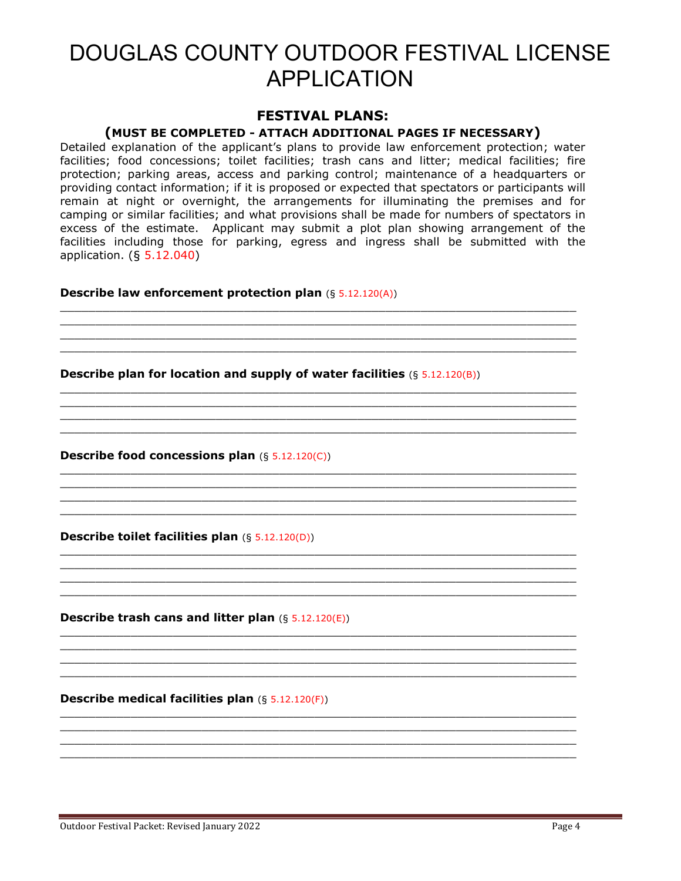### **FESTIVAL PLANS:**

#### **(MUST BE COMPLETED - ATTACH ADDITIONAL PAGES IF NECESSARY)**

Detailed explanation of the applicant's plans to provide law enforcement protection; water facilities; food concessions; toilet facilities; trash cans and litter; medical facilities; fire protection; parking areas, access and parking control; maintenance of a headquarters or providing contact information; if it is proposed or expected that spectators or participants will remain at night or overnight, the arrangements for illuminating the premises and for camping or similar facilities; and what provisions shall be made for numbers of spectators in excess of the estimate. Applicant may submit a plot plan showing arrangement of the facilities including those for parking, egress and ingress shall be submitted with the application. (§ 5.12.040)

 $\_$  , and the set of the set of the set of the set of the set of the set of the set of the set of the set of the set of the set of the set of the set of the set of the set of the set of the set of the set of the set of th  $\_$  , and the set of the set of the set of the set of the set of the set of the set of the set of the set of the set of the set of the set of the set of the set of the set of the set of the set of the set of the set of th

 $\_$  , and the set of the set of the set of the set of the set of the set of the set of the set of the set of the set of the set of the set of the set of the set of the set of the set of the set of the set of the set of th

 $\_$  , and the set of the set of the set of the set of the set of the set of the set of the set of the set of the set of the set of the set of the set of the set of the set of the set of the set of the set of the set of th  $\_$  , and the set of the set of the set of the set of the set of the set of the set of the set of the set of the set of the set of the set of the set of the set of the set of the set of the set of the set of the set of th

 $\_$  , and the set of the set of the set of the set of the set of the set of the set of the set of the set of the set of the set of the set of the set of the set of the set of the set of the set of the set of the set of th

 $\_$  , and the set of the set of the set of the set of the set of the set of the set of the set of the set of the set of the set of the set of the set of the set of the set of the set of the set of the set of the set of th  $\_$  , and the set of the set of the set of the set of the set of the set of the set of the set of the set of the set of the set of the set of the set of the set of the set of the set of the set of the set of the set of th  $\_$  , and the set of the set of the set of the set of the set of the set of the set of the set of the set of the set of the set of the set of the set of the set of the set of the set of the set of the set of the set of th  $\_$  , and the set of the set of the set of the set of the set of the set of the set of the set of the set of the set of the set of the set of the set of the set of the set of the set of the set of the set of the set of th

 $\_$  , and the set of the set of the set of the set of the set of the set of the set of the set of the set of the set of the set of the set of the set of the set of the set of the set of the set of the set of the set of th  $\_$  , and the set of the set of the set of the set of the set of the set of the set of the set of the set of the set of the set of the set of the set of the set of the set of the set of the set of the set of the set of th  $\_$  , and the set of the set of the set of the set of the set of the set of the set of the set of the set of the set of the set of the set of the set of the set of the set of the set of the set of the set of the set of th  $\_$  , and the set of the set of the set of the set of the set of the set of the set of the set of the set of the set of the set of the set of the set of the set of the set of the set of the set of the set of the set of th

 $\_$  , and the set of the set of the set of the set of the set of the set of the set of the set of the set of the set of the set of the set of the set of the set of the set of the set of the set of the set of the set of th  $\_$  , and the set of the set of the set of the set of the set of the set of the set of the set of the set of the set of the set of the set of the set of the set of the set of the set of the set of the set of the set of th  $\_$  , and the set of the set of the set of the set of the set of the set of the set of the set of the set of the set of the set of the set of the set of the set of the set of the set of the set of the set of the set of th  $\_$  , and the set of the set of the set of the set of the set of the set of the set of the set of the set of the set of the set of the set of the set of the set of the set of the set of the set of the set of the set of th

 $\_$  , and the set of the set of the set of the set of the set of the set of the set of the set of the set of the set of the set of the set of the set of the set of the set of the set of the set of the set of the set of th  $\_$  , and the set of the set of the set of the set of the set of the set of the set of the set of the set of the set of the set of the set of the set of the set of the set of the set of the set of the set of the set of th  $\_$  , and the set of the set of the set of the set of the set of the set of the set of the set of the set of the set of the set of the set of the set of the set of the set of the set of the set of the set of the set of th  $\_$  , and the set of the set of the set of the set of the set of the set of the set of the set of the set of the set of the set of the set of the set of the set of the set of the set of the set of the set of the set of th

#### **Describe law enforcement protection plan** (§ 5.12.120(A))

**Describe plan for location and supply of water facilities**  $(§ 5.12.120(B))$ 

**Describe food concessions plan** (§ 5.12.120(C))

**Describe toilet facilities plan** (§ 5.12.120(D))

**Describe trash cans and litter plan** (§ 5.12.120(E))

**Describe medical facilities plan** (§ 5.12.120(F))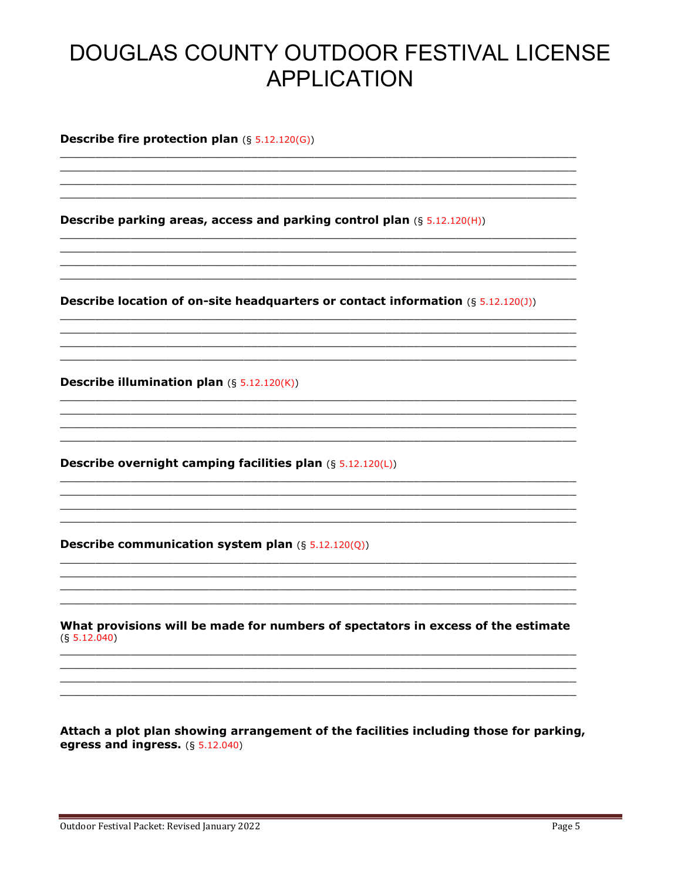**Describe fire protection plan**  $(S 5.12.120(G))$ 

**Describe parking areas, access and parking control plan (§ 5.12.120(H))** 

**Describe location of on-site headquarters or contact information (§ 5.12.120(J))** 

**Describe illumination plan**  $(S 5.12.120(K))$ 

**Describe overnight camping facilities plan**  $(S 5.12.120(L))$ 

Describe communication system plan  $(§ 5.12.120(Q))$ 

What provisions will be made for numbers of spectators in excess of the estimate  $(§ 5.12.040)$ 

Attach a plot plan showing arrangement of the facilities including those for parking, egress and ingress.  $(§ 5.12.040)$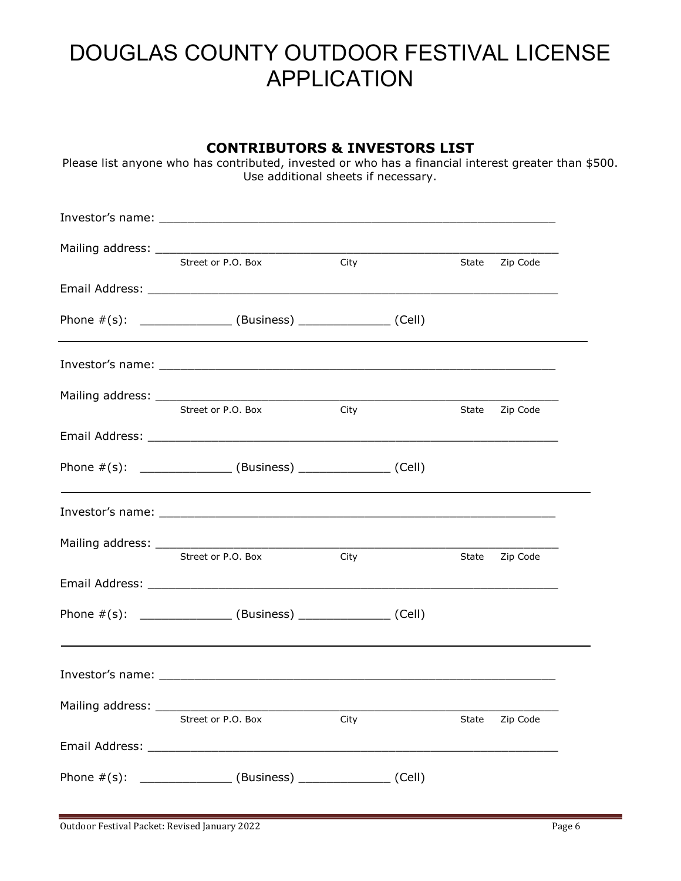| CUNTRIBUTURS & INVESTURS LIST<br>Please list anyone who has contributed, invested or who has a financial interest greater than \$500.<br>Use additional sheets if necessary. |                                                                  |      |  |       |                |  |
|------------------------------------------------------------------------------------------------------------------------------------------------------------------------------|------------------------------------------------------------------|------|--|-------|----------------|--|
|                                                                                                                                                                              |                                                                  |      |  |       |                |  |
|                                                                                                                                                                              |                                                                  |      |  |       |                |  |
|                                                                                                                                                                              | Street or P.O. Box                                               | City |  |       | State Zip Code |  |
|                                                                                                                                                                              | Phone $\#(s)$ : ________________(Business) _______________(Cell) |      |  |       |                |  |
|                                                                                                                                                                              |                                                                  |      |  |       |                |  |
|                                                                                                                                                                              | Street or P.O. Box                                               | City |  |       | State Zip Code |  |
|                                                                                                                                                                              |                                                                  |      |  |       |                |  |
|                                                                                                                                                                              | Phone $\#(s)$ : _______________(Business) ______________(Cell)   |      |  |       |                |  |
|                                                                                                                                                                              |                                                                  |      |  |       |                |  |
|                                                                                                                                                                              | Street or P.O. Box                                               | City |  | State | Zip Code       |  |
|                                                                                                                                                                              |                                                                  |      |  |       |                |  |
|                                                                                                                                                                              | Phone #(s): ________________(Business) ________________(Cell)    |      |  |       |                |  |
|                                                                                                                                                                              |                                                                  |      |  |       |                |  |
|                                                                                                                                                                              |                                                                  |      |  |       |                |  |
|                                                                                                                                                                              | Street or P.O. Box                                               | City |  | State | Zip Code       |  |
|                                                                                                                                                                              | Phone $\#(s)$ : _______________(Business) ______________(Cell)   |      |  |       |                |  |

**CONTRIBUTORS & INVESTORS LIST**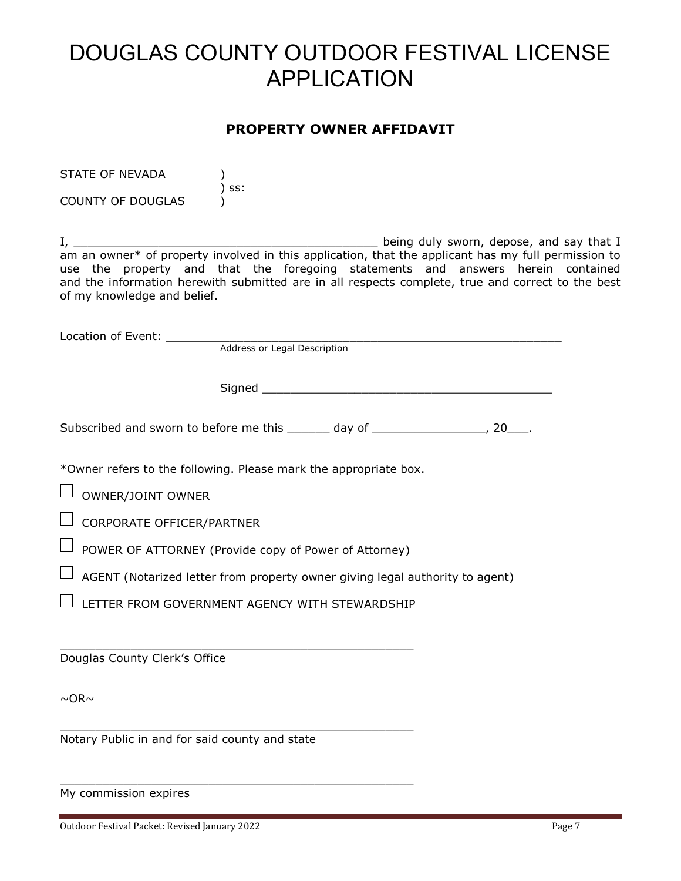### **PROPERTY OWNER AFFIDAVIT**

| STATE OF NEVADA             |                                                                                                     |
|-----------------------------|-----------------------------------------------------------------------------------------------------|
| <b>COUNTY OF DOUGLAS</b>    | SS:                                                                                                 |
|                             |                                                                                                     |
|                             | being duly sworn, depose, and say that I                                                            |
|                             | am an owner* of property involved in this application, that the applicant has my full permission to |
|                             | use the property and that the foregoing statements and answers herein contained                     |
|                             | and the information herewith submitted are in all respects complete, true and correct to the best   |
| of my knowledge and belief. |                                                                                                     |

Location of Event: \_\_\_\_\_\_\_\_\_\_\_\_\_\_\_\_\_\_\_\_\_\_\_\_\_\_\_\_\_\_\_\_\_\_\_\_\_\_\_\_\_\_\_\_\_\_\_\_\_\_\_\_\_\_\_\_ **Address or Legal Description** 

Signed \_\_\_\_\_\_\_\_\_\_\_\_\_\_\_\_\_\_\_\_\_\_\_\_\_\_\_\_\_\_\_\_\_\_\_\_\_\_\_\_\_

Subscribed and sworn to before me this \_\_\_\_\_\_ day of \_\_\_\_\_\_\_\_\_\_\_\_\_\_\_\_, 20\_\_\_.

\*Owner refers to the following. Please mark the appropriate box.

 $\Box$  OWNER/JOINT OWNER

 $\Box$  CORPORATE OFFICER/PARTNER

 $\Box$  POWER OF ATTORNEY (Provide copy of Power of Attorney)

 $\Box$  AGENT (Notarized letter from property owner giving legal authority to agent)

 $\Box$  LETTER FROM GOVERNMENT AGENCY WITH STEWARDSHIP

\_\_\_\_\_\_\_\_\_\_\_\_\_\_\_\_\_\_\_\_\_\_\_\_\_\_\_\_\_\_\_\_\_\_\_\_\_\_\_\_\_\_\_\_\_\_\_\_\_\_

\_\_\_\_\_\_\_\_\_\_\_\_\_\_\_\_\_\_\_\_\_\_\_\_\_\_\_\_\_\_\_\_\_\_\_\_\_\_\_\_\_\_\_\_\_\_\_\_\_\_

\_\_\_\_\_\_\_\_\_\_\_\_\_\_\_\_\_\_\_\_\_\_\_\_\_\_\_\_\_\_\_\_\_\_\_\_\_\_\_\_\_\_\_\_\_\_\_\_\_\_

Douglas County Clerk's Office

 $~\sim$ OR $~\sim$ 

Notary Public in and for said county and state

My commission expires

Outdoor Festival Packet: Revised January 2022 Page 7